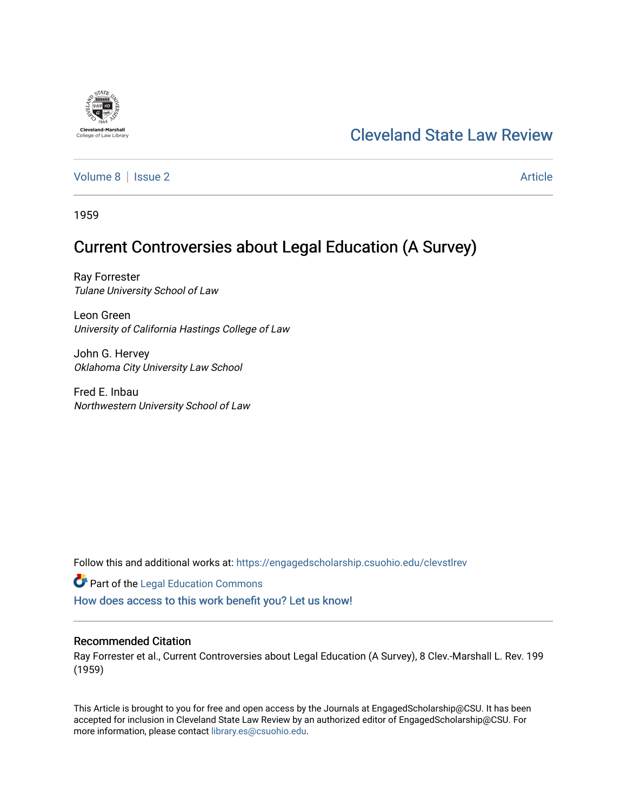# [Cleveland State Law Review](https://engagedscholarship.csuohio.edu/clevstlrev)

[Volume 8](https://engagedscholarship.csuohio.edu/clevstlrev/vol8) | [Issue 2](https://engagedscholarship.csuohio.edu/clevstlrev/vol8/iss2) Article

1959

**Cleveland-Marshall**<br>College of Law Libra

## Current Controversies about Legal Education (A Survey)

Ray Forrester Tulane University School of Law

Leon Green University of California Hastings College of Law

John G. Hervey Oklahoma City University Law School

Fred E. Inbau Northwestern University School of Law

Follow this and additional works at: [https://engagedscholarship.csuohio.edu/clevstlrev](https://engagedscholarship.csuohio.edu/clevstlrev?utm_source=engagedscholarship.csuohio.edu%2Fclevstlrev%2Fvol8%2Fiss2%2F2&utm_medium=PDF&utm_campaign=PDFCoverPages)

**Part of the Legal Education Commons** 

[How does access to this work benefit you? Let us know!](http://library.csuohio.edu/engaged/)

## Recommended Citation

Ray Forrester et al., Current Controversies about Legal Education (A Survey), 8 Clev.-Marshall L. Rev. 199 (1959)

This Article is brought to you for free and open access by the Journals at EngagedScholarship@CSU. It has been accepted for inclusion in Cleveland State Law Review by an authorized editor of EngagedScholarship@CSU. For more information, please contact [library.es@csuohio.edu](mailto:library.es@csuohio.edu).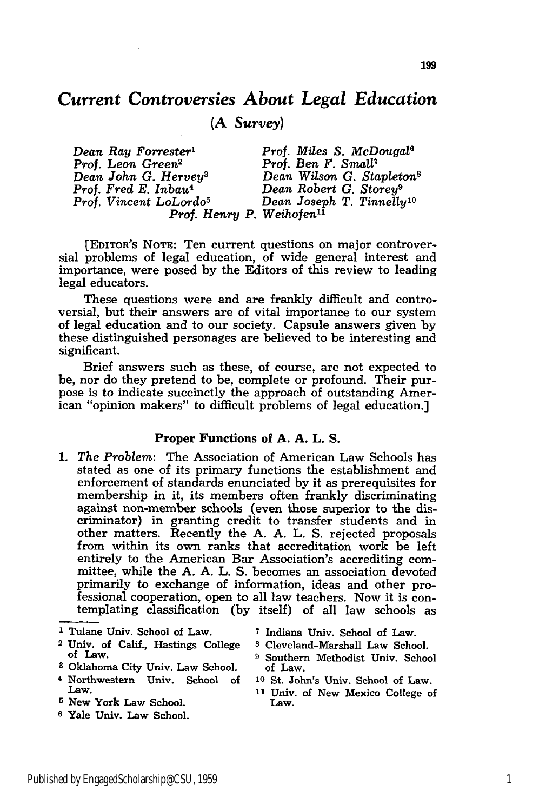## *Current Controversies About Legal Education* **(A** *Survey)*

*Dean Ray Forrester' Prof. Miles S. McDougal6 Prof. Leon Green2 Prof. Ben F. Small Dean John G. Hervey3 Dean Wilson G. Stapleton8 Prof. Fred E. Inbau4 Dean Robert G. Storey9 Prof. Vincent LoLordo5 Dean Joseph T. Tinnelly10 Prof. Henry P. Weihofen"*

[EDITOR'S **NOTE:** Ten current questions on major controversial problems of legal education, of wide general interest and importance, were posed by the Editors of this review to leading legal educators.

These questions were and are frankly difficult and controversial, but their answers are of vital importance to our system of legal education and to our society. Capsule answers given by these distinguished personages are believed to be interesting and significant.

Brief answers such as these, of course, are not expected to be, nor do they pretend to be, complete or profound. Their purpose is to indicate succinctly the approach of outstanding American "opinion makers" to difficult problems of legal education.]

#### **Proper Functions of A. A. L. S.**

**1.** *The Problem:* The Association of American Law Schools has stated as one of its primary functions the establishment and enforcement of standards enunciated by it as prerequisites for membership in it, its members often frankly discriminating against non-member schools (even those superior to the discriminator) in granting credit to transfer students and in other matters. Recently the A. A. L. S. rejected proposals from within its own ranks that accreditation work be left entirely to the American Bar Association's accrediting committee, while the A. A. L. S. becomes an association devoted primarily to exchange of information, ideas and other professional cooperation, open to all law teachers. Now it is contemplating classification (by itself) of all law schools as

**1** Tulane Univ. School of Law. **7** Indiana Univ. School of Law.

- **<sup>2</sup>**Univ. of Calif., Hastings College **s** Cleveland-Marshall Law School. of Law. **9** Southern Methodist Univ. School
- **<sup>3</sup>**Oklahoma City Univ. Law School. of Law.
- **<sup>4</sup>**Northwestern Univ. School of **1o** St. John's Univ. School of Law. Law. **11** Univ. of New Mexico College of
- **5** New York Law School. Law.
- **6** Yale Univ. Law School.
- 
- 
- 
- 
-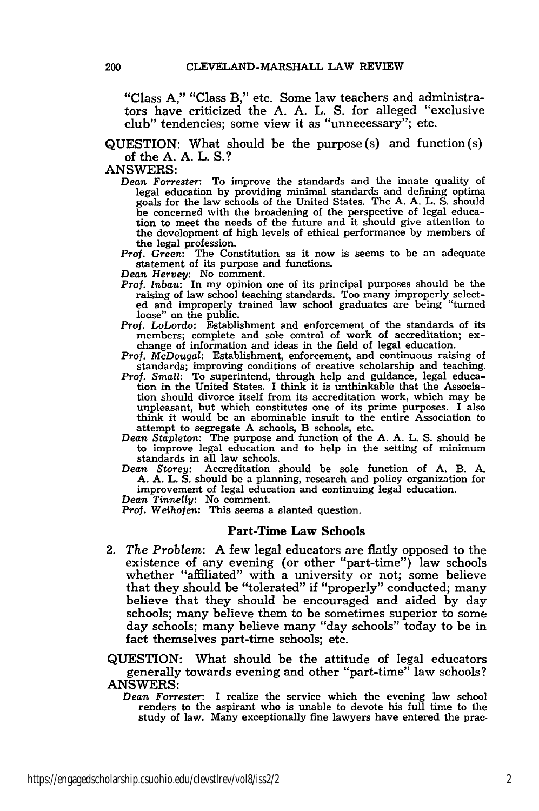"Class **A,"** "Class B," etc. Some law teachers and administrators have criticized the **A. A.** L. **S.** for alleged "exclusive club" tendencies; some view it as "unnecessary"; etc.

### **QUESTION:** What should be the purpose (s) and function (s) of the **A. A.** L. **S.?**

#### **ANSWERS:**

*Dean Forrester:* To improve the standards and the innate quality of legal education **by** providing minimal standards and defining optima goals for the law schools of the United States. The **A. A.** L. **S.** should be concerned with the broadening of the perspective of legal educa-tion to meet the needs of the future and it should give attention to the development of high levels of ethical performance **by** members of

Prof. Green: The Constitution as it now is seems to be an adequate statement of its purpose and functions.

*Dean Hervey:* No comment.

- *Prof. Inbau:* In my opinion one of its principal purposes should be the raising of law school teaching standards. Too many improperly selected and improperly trained law school graduates are being "turned
- Prof. LoLordo: Establishment and enforcement of the standards of its members; complete and sole control of work of accreditation; ex- change of information and ideas in the field of legal education.
- Prof. *McDougal:* Establishment, enforcement, and continuous raising of standards; improving conditions of creative scholarship and teaching. *Prof. Small:* To superintend, through help and guidance, legal educa-
- tion in the United States. I think it is unthinkable that the Association should divorce itself from its accreditation work, which may be unpleasant, but which constitutes one of its prime purposes. **I** also think it would be an abominable insult to the entire Association to attempt to segregate **A** schools, B schools, etc.
- *Dean* Stapleton: The purpose and function of the **A. A.** L. **S.** should be to improve legal education and to help in the setting of minimum standards in all law schools.
- *Dean Storey:* Accreditation should be sole function of **A.** B. **A. A. A.** L. **S.** should be a planning, research and policy organization for improvement of legal education and continuing legal education.

*Dean Tinnelly:* No comment.

Prof. Weihofen: This seems a slanted question.

#### Part-Time Law Schools

2. *The Problem:* **A** few legal educators are flatly opposed to the existence of any evening (or other "part-time") law schools whether "affiliated" with a university or not; some believe that they should be "tolerated" if "properly" conducted; many believe that they should be encouraged and aided **by** day schools; many believe them to be sometimes superior to some day schools; many believe many "day schools" today to be in fact themselves part-time schools; etc.

**QUESTION:** What should be the attitude of legal educators generally towards evening and other "part-time" law schools? **ANSWERS:**

*Dean Forrester:* I realize the service which the evening law school renders to the aspirant who is unable to devote his full time to the study of law. Many exceptionally fine lawyers have entered the prac.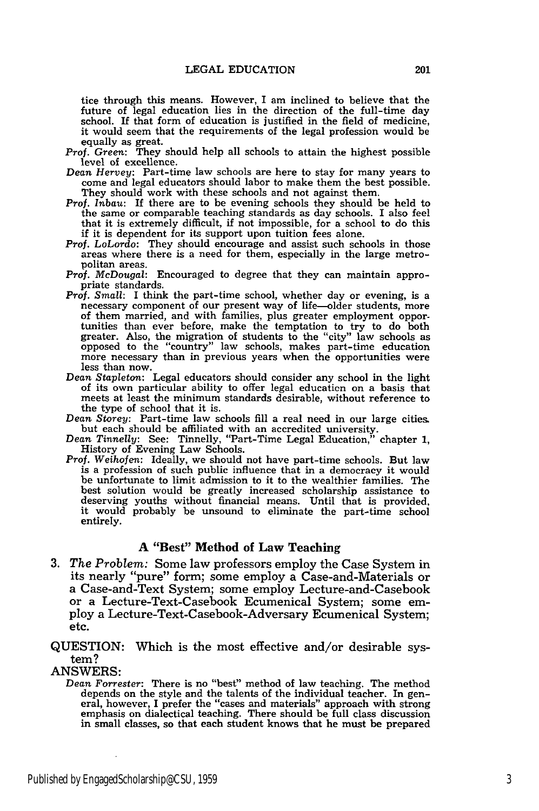tice through this means. However, I am inclined to believe that the future of legal education lies in the direction of the full-time day school. If that form of education is justified in the field of medicine, it would seem that the requirements of the legal profession would be equally as great.

- Prof. *Green:* They should help all schools to attain the highest possible level of excellence.
- *Dean Hervey:* Part-time law schools are here to stay for many years to come and legal educators should labor to make them the best possible. They should work with these schools and not against them.
- *Prof. Inbau:* If there are to be evening schools they should be held to the same or comparable teaching standards as day schools. I also feel that it is extremely difficult, if not impossible, for a school to do this if it is dependent for its support upon tuition fees alone.
- *Prof.* LoLordo: They should encourage and assist such schools in those areas where there is a need for them, especially in the large metropolitan areas.
- *Prof. McDougal:* Encouraged to degree that they can maintain appropriate standards.
- *Prof. Small:* I think the part-time school, whether day or evening, is a necessary component of our present way of life-older students, more of them married, and with families, plus greater employment opportunities than ever before, make the temptation to try to do both<br>greater. Also, the migration of students to the "city" law schools as greater of students to the "country" law schools, makes part-time education more necessary than in previous years when the opportunities were
- less than now. *Dean Stapleton:* Legal educators should consider any school in the light of its own particular ability to offer legal educaticn on a basis that meets at least the minimum standards desirable, without reference to the type of school that it is.
- *Dean Storey:* Part-time law schools **fill** a real need in our large cities. but each should be affiliated with an accredited university. *Dean Tinnelly:* See: Tinnelly, "Part-Time Legal Education," chapter **1,**
- History of Evening Law Schools.
- Prof. *Weihofen:* Ideally, we should not have part-time schools. But law is a profession of such public influence that in a democracy it would be unfortunate to limit admission to it to the wealthier families. The best solution would be greatly increased scholarship assistance to deserving youths without financial means. Until that is provided, it would probably be unsound to eliminate the part-time school entirely.

## **A** "Best" Method of Law Teaching

**3.** *The Problem:* Some law professors employ the Case System in its nearly "pure" form; some employ a Case-and-Materials or a Case-and-Text System; some employ Lecture-and-Casebook or a Lecture-Text-Casebook Ecumenical System; some employ a Lecture-Text-Casebook-Adversary Ecumenical System; etc.

## QUESTION: Which is the most effective and/or desirable system?

## ANSWERS:

*Dean Forrester:* There is no "best" method of law teaching. The method depends on the style and the talents of the individual teacher. In general, however, I prefer the "cases and materials" approach with strong emphasis on dialectical teaching. There should be full class discussion in small classes, so that each student knows that he must be prepared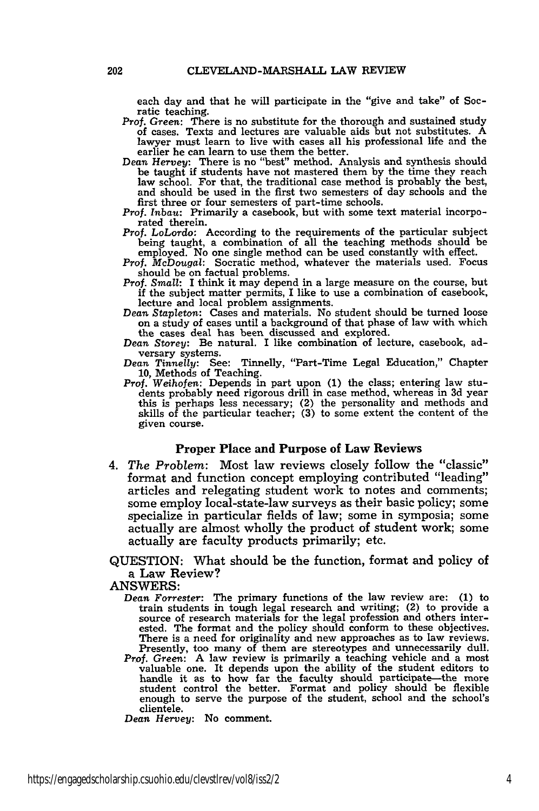each day and that he will participate in the "give and take" of Socratic teaching.

- Prof. *Green:* There is no substitute for the thorough and sustained study of cases. Texts and lectures are valuable aids but not substitutes. A lawyer must learn to live with cases all his professional life and the
- earlier he can learn to use them the better.<br>Dean *Hervey:* There is no "best" method. Analysis and synthesis should<br>be taught if students have not mastered them by the time they reach law school. For that, the traditional case method is probably the best, and should be used in the first two semesters of day schools and the first three or four semesters of part-time schools.
- *Prof. Inbau:* Primarily a casebook, but with some text material incorporated therein.
- Prof. *LoLordo:* According to the requirements of the particular subject being taught, a combination of all the teaching methods should be employed. No one single method can be used constantly with effect.
- Prof. *McDougal:* Socratic method, whatever the materials used. Focus should be on factual problems.
- Prof. *Small:* I think it may depend in a large measure on the course, but if the subject matter permits, I like to use a combination of casebook, lecture and local problem assignments.
- *Dean Stapleton:* Cases and materials. No student should be turned loose on a study of cases until a background of that phase of law with which the cases deal has been discussed and explored.
- *Dean Storey:* Be natural. **I** like combination of lecture, casebook, adversary systems.
- *Dean Tinnelly:* See: Tinnelly, "Part-Time Legal Education," Chapter 10, Methods of Teaching.
- Prof. *Weihofen:* Depends in part upon (1) the class; entering law students probably need rigorous drill in case method, whereas in 3d year this is perhaps less necessary; (2) the personality and methods and skills of the particular teacher; (3) to some extent the content of the given course.

#### Proper Place and **Purpose of** Law **Reviews**

*4. The Problem:* Most law reviews closely follow the "classic" format and function concept employing contributed "leading" articles and relegating student work to notes and comments; some employ local-state-law surveys as their basic policy; some specialize in particular fields of law; some in symposia; some actually are almost wholly the product of student work; some actually are faculty products primarily; etc.

QUESTION: What should be the function, format and policy of a Law Review?

**ANSWERS:**

- *Dean Forrester:* The primary functions of the law review are: **(1)** to train students in tough legal research and writing; (2) to provide a source of research materials for the legal profession and others interested. The format and the policy should conform to these objectives. There is a need for originality and new approaches as to law reviews.
- Presently, too many of them are stereotypes and unnecessarily dull.<br>*Prof. Green:* A law review is primarily a teaching vehicle and a most valuable one. It depends upon the ability of the student editors to handle it as to how far the faculty should participate—the more student control the better. Format and policy should be flexible enough to serve the purpose of the student, school and the school's clientele.

*Dean Hervey:* No comment.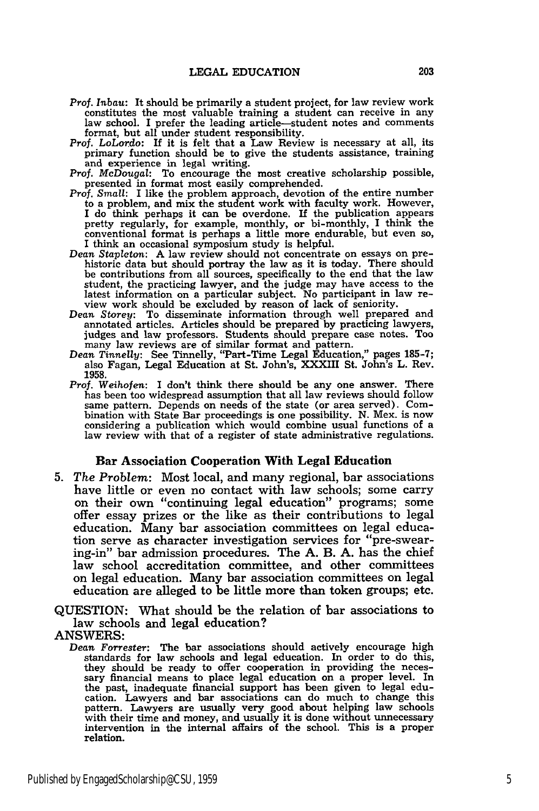- *Prof. Inbau:* It should be primarily a student project, for law review work constitutes the most valuable training a student can receive in any law school. I prefer the leading article-student notes and comments format, but all under student responsibility.
- Prof. *LoLordo:* If it is felt that a Law Review is necessary at all, its primary function should be to give the students assistance, training and experience in legal writing.
- Prof. *McDougal:* To encourage the most creative scholarship possible, presented in format most easily comprehended.<br>*Prof. Small:* I like the problem approach, devotion of the entire number
- to a problem, and mix the student work with faculty work. However, I do think perhaps it can be overdone. If the publication appears pretty regularly, for example, monthly, or bi-monthly, I think the conventional format is perhaps a little more endurable, but even so, I think an occasional symposium study is helpful.
- *Dean Stapleton:* A law review should not concentrate on essays on prehistoric data but should portray the law as it is today. There should be contributions from all sources, specifically to the end that the law student, the practicing lawyer, and the judge may have access to the latest information on a particular subject. No participant in law re- view work should be excluded by reason of lack of seniority.
- *Dean Storey:* To disseminate information through well prepared and annotated articles. Articles should be prepared by practicing lawyers, judges and law professors. Students should prepare case notes. Too many law reviews are of similar format and pattern. *Dean Tinnelly:* See Tinnelly, "Part-Time Legal Education," pages **185-7;**
- also Fagan, Legal Education at St. John's, XXXIII St. John's L. Rev. **1958.**
- Prof. *Weihofen:* I don't think there should be any one answer. There has been too widespread assumption that all law reviews should follow same pattern. Depends on needs of the state (or area served). Combination with State Bar proceedings is one possibility. N. Mex. is now considering a publication which would combine usual functions of a law review with that of a register of state administrative regulations.

#### **Bar** Association Cooperation **With Legal** Education

**5.** *The Problem:* Most local, and many regional, bar associations have little or even no contact with law schools; some carry on their own "continuing legal education" programs; some offer essay prizes or the like as their contributions to legal education. Many bar association committees on legal education serve as character investigation services for "pre-swearing-in" bar admission procedures. The **A.** B. **A.** has the chief law school accreditation committee, and other committees on legal education. Many bar association committees on legal education are alleged to be little more than token groups; etc.

QUESTION: What should be the relation of bar associations to law schools and legal education?

ANSWERS:

*Dean Forrester:* The bar associations should actively encourage high standards for law schools and legal education. In order to do this, they should be ready to offer cooperation in providing the necessary financial means to place legal education on a proper level. In the past, inadequate financial support has been given to legal education. Lawyers and bar associations can do much to change this pattern. Lawyers are usually very good about helping law schools with their time and money, and usually it is done without unnecessary intervention in the internal affairs of the school. This is a proper relation.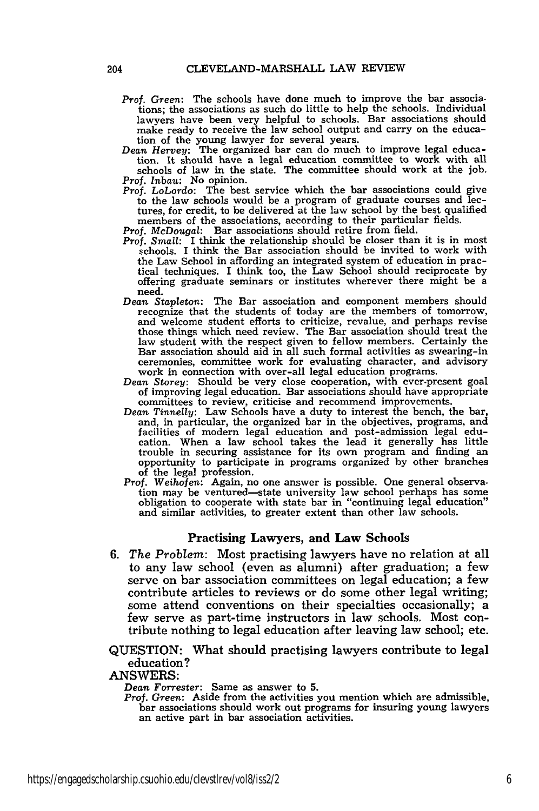- *Prof. Green:* The schools have done much to improve the bar associations; the associations as such do little to help the schools. Individual lawyers have been very helpful to schools. Bar associations should make ready to receive the law school output and carry on the education of the young lawyer for several years. *Dean Hervey:* The organized bar can do much to improve legal educa-
- tion. It should have a legal education committee to work with all

schools of law in the state. The committee should work at the job. *Prof. Inbau:* No opinion.

*Prof. LoLordo:* The best service which the bar associations could give to the law schools would be a program of graduate courses and lectures, for credit, to be delivered at the law school by the best qualified members of the associations, according to their particular fields.

*Prof. McDougal:* Bar associations should retire from field.

- *Prof. Small:* I think the relationship should be closer than it is in most schools. I think the Bar association should be invited to work with the Law School in affording an integrated system of education in practical techniques. I think too, the Law School should reciprocate by offering graduate seminars or institutes wherever there might be a need.
- *Dean Stapleton:* The Bar association and component members should recognize that the students of today are the members of tomorrow, and welcome student efforts to criticize, revalue, and perhaps revise those things which need review. The Bar association should treat the law student with the respect given to fellow members. Certainly the Bar association should aid in all such formal activities as swearing-in ceremonies, committee work for evaluating character, and advisory work in connection with over-all legal education programs.
- *Dean Storey:* Should be very close cooperation, with ever-present goal of improving legal education. Bar associations should have appropriate committees to review, criticise and recommend improvements.
- *Dean Tinnelly:* Law Schools have a duty to interest the bench, the bar, and, in particular, the organized bar in the objectives, programs, and facilities of modern legal education and post-admission legal edu-cation. When a law school takes the lead it generally has little trouble in securing assistance for its own program and finding an opportunity to participate in programs organized by other branches opportunity to participate in programs organized by other branches of the legal profession.
- *Prof. Weihofen:* Again, no one answer is possible. One general observation may be ventured-state university law school perhaps has some obligation to cooperate with state bar in "continuing legal education" and similar activities, to greater extent than other law schools.

#### Practising Lawyers, and Law Schools

*6. The Problem:* Most practising lawyers have no relation at all to any law school (even as alumni) after graduation; a few serve on bar association committees on legal education; a few contribute articles to reviews or do some other legal writing; some attend conventions on their specialties occasionally; a few serve as part-time instructors in law schools. Most contribute nothing to legal education after leaving law school; etc.

QUESTION: What should practising lawyers contribute to legal education?

#### **ANSWERS:**

*Dean Forrester:* Same as answer to **5.**

*Prof. Green:* Aside from the activities you mention which are admissible, bar associations should work out programs for insuring young lawyers an active part in bar association activities.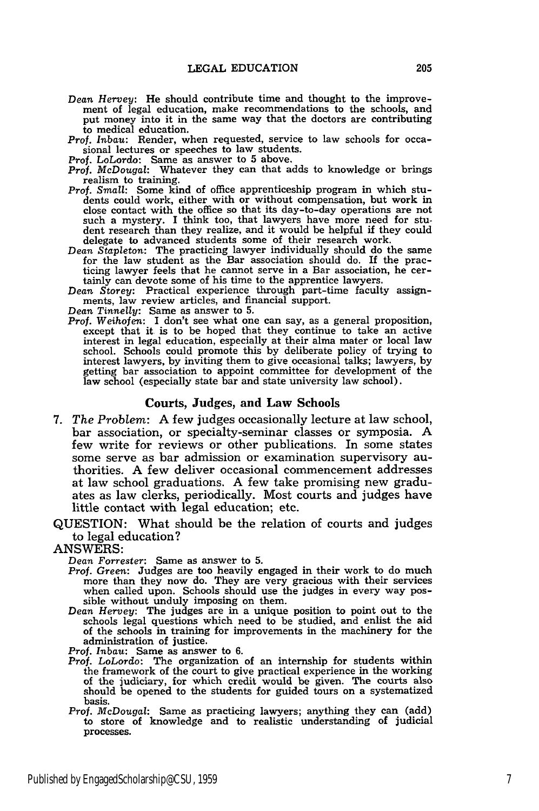- *Dean Hervey:* He should contribute time and thought to the improvement of legal education, make recommendations to the schools, and put money into it in the same way that the doctors are contributing to medical education.
- *Prof. Inbau:* Render, when requested, service to law schools for occasional lectures or speeches to law students.
- 
- *Prof.* LoLordo: Same as answer to 5 above. *Prof. McDougal:* Whatever they can that adds to knowledge or brings realism to training.
- *Prof. Small:* Some kind of office apprenticeship program in which students could work, either with or without compensation, but work in close contact with the office so that its day-to-day operations are not such a mystery. I think too, that lawyers have more need for student research than they realize, and it would be helpful if they could delegate to advanced students some of their research work.
- *Dean Stapleton:* The practicing lawyer individually should do the same for the law student as the Bar association should do. If the practicing lawyer feels that he cannot serve in a Bar association, he certainly can devote some of his time to the apprentice lawyers.
- *Dean Storey:* Practical experience through part-time faculty assignments, law review articles, and financial support.

*Dean Tinnelly:* Same as answer to 5.<br>*Prof. Weihofen:* I don't see what one can say, as a general proposition, except that it is to be hoped that they continue to take an active interest in legal education, especially at their alma mater or local law school. Schools could promote this by deliberate policy of trying to interest lawyers, by inviting them to give occasional talks; lawyers, by getting bar association to appoint committee for development of the law school (especially state bar and state university law school).

#### Courts, Judges, and Law Schools

- *7. The Problem:* A few judges occasionally lecture at law school, bar association, or specialty-seminar classes or symposia. A few write for reviews or other publications. In some states some serve as bar admission or examination supervisory authorities. A few deliver occasional commencement addresses at law school graduations. A few take promising new graduates as law clerks, periodically. Most courts and judges have little contact with legal education; etc.
- QUESTION: What should be the relation of courts and judges to legal education?
- ANSWERS:

*Dean Forrester:* Same as answer to **5.**

- *Prof. Green:* Judges are too heavily engaged in their work to do much more than they now do. They are very gracious with their services when called upon. Schools should use the judges in every way possible without unduly imposing on them.
- *Dean Hervey:* The judges are in a unique position to point out to the schools legal questions which need to be studied, and enlist the aid of the schools in training for improvements in the machinery for the administration of justice.

*Prof. Inbau:* Same as answer to 6.

- *Prof.* LoLordo: The organization of an internship for students within the framework of the court to give practical experience in the working of the judiciary, for which credit would be given. The courts also should be opened to the students for guided tours on a systematized basis.
- *Prof. McDougal:* Same as practicing lawyers; anything they can (add) to store of knowledge and to realistic understanding of judicial processes.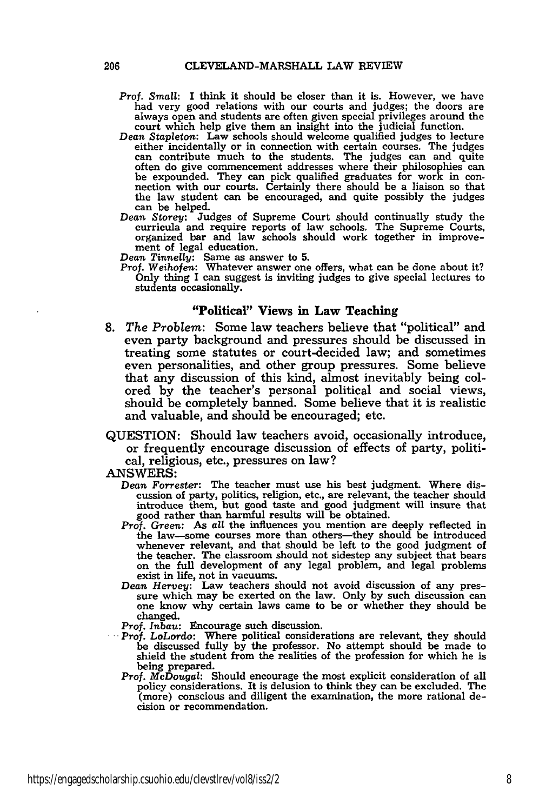- Prof. *Small:* I think it should be closer than it is. However, we have had very good relations with our courts and judges; the doors are always open and students are often given special privileges around the court which help give them an insight into the judicial function.
- *Dean Stapleton:* Law schools should welcome qualified judges to lecture either incidentally or in connection with certain courses. The judges can contribute much to the students. The judges can and quite often do give commencement addresses where their philosophies can be expounded. They can pick qualified graduates for work in con- nection with our courts. Certainly there should be a liaison so that nection with our courts. Certainly there should be a liaison so that the law student can be encouraged, and quite possibly the judges can be helped.
- *Dean Storey:* Judges of Supreme Court should continually study the curricula and require reports of law schools. The Supreme Courts, organized bar and law schools should work together in improvement of legal education.

*Dean Tinnelly:* Same as answer to **5.** Prof. *Weihofen:* Whatever answer one offers, what can be done about it? Only thing I can suggest is inviting judges to give special lectures to students occasionally.

## **"Political" Views in Law Teaching**

- **8.** *The Problem:* Some law teachers believe that "political" and even party background and pressures should be discussed in treating some statutes or court-decided law; and sometimes even personalities, and other group pressures. Some believe that any discussion of this kind, almost inevitably being colored by the teacher's personal political and social views, should be completely banned. Some believe that it is realistic and valuable, and should be encouraged; etc.
- QUESTION: Should law teachers avoid, occasionally introduce, or frequently encourage discussion of effects of party, political, religious, etc., pressures on law?

ANSWERS:

- *Dean Forrester:* The teacher must use his best judgment. Where discussion of party, politics, religion, etc., are relevant, the teacher should introduce them, but good taste and good judgment will insure that good rather than harmful results will be obtained.
- *Prof.* Green: As *all* the influences you mention are deeply reflected in the law—some courses more than others—they should be introduced whenever relevant, and that should be left to the good judgment of the teacher. The classroom should not sidestep any subject that bears on the full development of any legal problem, and legal problems
- on the full development of any legal problem, and legal problems<br>exist in life, not in vacuums.<br>Dean Hervey: Law teachers should not avoid discussion of any pres-<br>sure which may be exerted on the law. Only by such discussi changed.

*Prof. Inbau:* Encourage such discussion.

- Prof. LoLordo: Where political considerations are relevant, they should be discussed fully by the professor. No attempt should be made to shield the student from the realities of the profession for which he is being prepared. Prof. *McDougal:* Should encourage the most explicit consideration of all
- policy considerations. It is delusion to think they can be excluded. The (more) conscious and diligent the examination, the more rational decision or recommendation.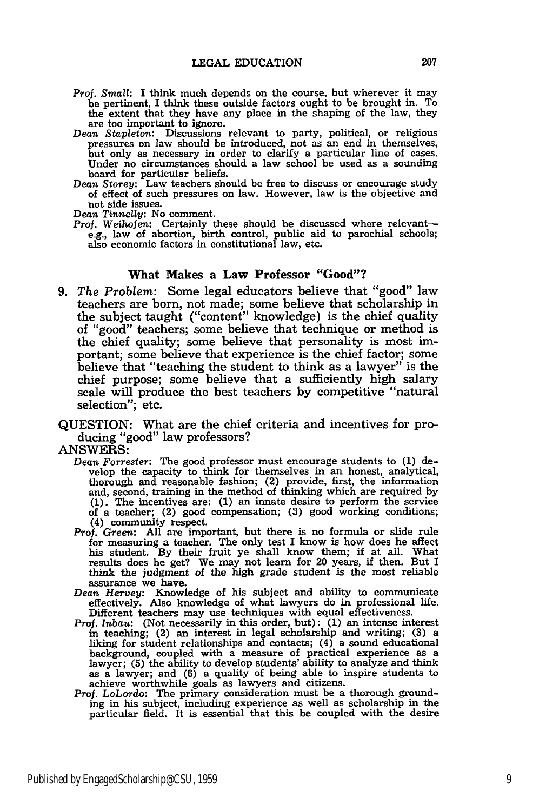- *Prof. Small:* I think much depends on the course, but wherever it may be pertinent, I think these outside factors ought to be brought in. To the extent that they have any place in the shaping of the law, they are too important to ignore.
- *Dean Stapleton:* Discussions relevant to party, political, or religious pressures on law should be introduced, not as an end in themselves, but only as necessary in order to clarify a particular line of cases. Under no circumstances should a law school be used as a sounding board for particular beliefs.
- *Dean Storey:* Law teachers should be free to discuss or encourage study of effect of such pressures on law. However, law is the objective and not side issues.

*Dean Tinnelly:* No comment.

Prof. Weihofen: Certainly these should be discussed where relevante.g., law of abortion, birth control, public aid to parochial schools; also economic factors in constitutional law, etc.

## What Makes a Law Professor "Good"?

- *9. The Problem:* Some legal educators believe that "good" law teachers are born, not made; some believe that scholarship in the subject taught ("content" knowledge) is the chief quality of "good" teachers; some believe that technique or method is the chief quality; some believe that personality is most important; some believe that experience is the chief factor; some believe that "teaching the student to think as a lawyer" is the chief purpose; some believe that a sufficiently high salary scale will produce the best teachers by competitive "natural selection"; etc.
- QUESTION: What are the chief criteria and incentives for producing "good" law professors?

**ANSWERS:**

- *Dean* Forrester: The good professor must encourage students to **(1)** develop the capacity to think for themselves in an honest, analytical, thorough and reasonable fashion; (2) provide, first, the information<br>and, second, training in the method of thinking which are required by<br>(1). The incentives are: (1) an innate desire to perform the service of a teacher; (2) good compensation; **(3)** good working conditions; (4) community respect.
- *Prof. Green:* **All** are important, but there is no formula or slide rule for measuring a teacher. The only test I know is how does he affect his student. By their fruit ye shall know them; if at all. What results does he get? We may not learn for 20 years, if then. But I think the judgment of the high grade student is the most reliable assurance we have.
- *Dean Hervey:* Knowledge of his subject and ability to communicate effectively. Also knowledge of what lawyers do in professional life. Different teachers may use techniques with equal effectiveness.
- Prof. *Inbau:* (Not necessarily in this order, but): **(1)** an intense interest in teaching; (2) an interest in legal scholarship and writing; **(3)** a liking for student relationships and contacts;  $(4)$  a sound educational background, coupled with a measure of practical experience as a lawyer; **(5)** the ability to develop students' ability to analyze and think as a lawyer; and **(6)** a quality of being able to inspire students to achieve worthwhile goals as lawyers and citizens.
- Prof. *LoLordo:* The primary consideration must be a thorough grounding in his subject, including experience as well as scholarship in the particular field. It is essential that this be coupled with the desire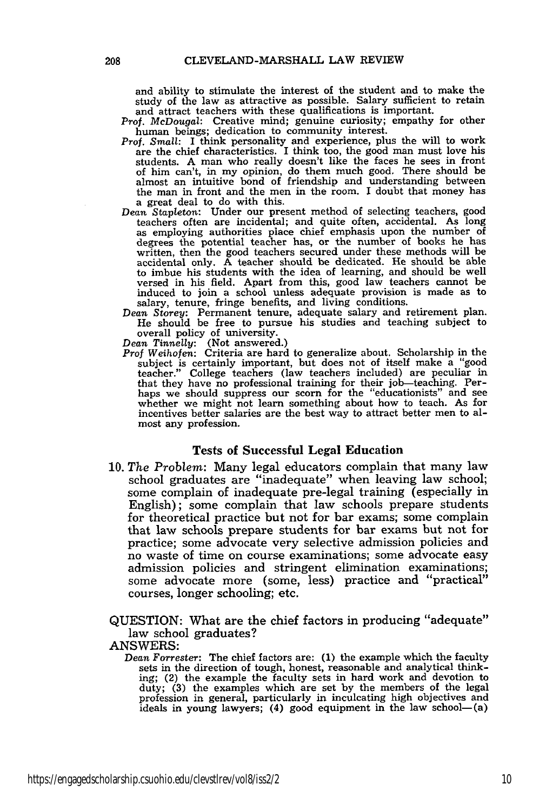and ability to stimulate the interest of the student and to make the study of the law as attractive as possible. Salary sufficient to retain and attract teachers with these qualifications is important.

*Prof. McDougal:* Creative mind; genuine curiosity; empathy for other human beings; dedication to community interest.

- Prof. *Small:* I think personality and experience, plus the will to work are the chief characteristics. I think too, the good man must love his students. A man who really doesn't like the faces he sees in front of him can't, in my opinion, do them much good. There should be almost an intuitive bond of friendship and understanding between the man in front and the men in the room. I doubt that money has a great deal to do with this.
- *Dean Stapleton:* Under our present method of selecting teachers, good teachers often are incidental; and quite often, accidental. As long as employing authorities place chief emphasis upon the number of degrees the potential teacher has, or the number of books he has written, then the good teachers secured under these methods will be accidental only. A teacher should be dedicated. He should be able to imbue his students with the idea of learning, and should be well versed in his field. Apart from this, good law teachers cannot be induced to join a school unless adequate provision is made as to
- salary, tenure, fringe benefits, and living conditions. Dean Storey: Permanent tenure, adequate salary and retirement plan. He should be free to pursue his studies and teaching subject to overall policy of university.

*Dean Tinnelly:* (Not answered.)

*Prof Weihofen:* Criteria are hard to generalize about. Scholarship in the subject is certainly important, but does not of itself make a "good teacher." College teachers (law teachers included) are peculiar in that they have no professional training for their job-teaching. Perhaps we should suppress our scorn for the "educationists" and see whether we might not learn something about how to teach. As for incentives better salaries are the best way to attract better men to almost any profession.

#### Tests of Successful Legal Education

**10.** *The Problem:* Many legal educators complain that many law school graduates are "inadequate" when leaving law school; some complain of inadequate pre-legal training (especially in English); some complain that law schools prepare students for theoretical practice but not for bar exams; some complain that law schools prepare students for bar exams but not for practice; some advocate very selective admission policies and no waste of time on course examinations; some advocate easy admission policies and stringent elimination examinations; some advocate more (some, less) practice and "practical" courses, longer schooling; etc.

QUESTION: What are the chief factors in producing "adequate" law school graduates?

#### ANSWERS:

*Dean Forrester:* The chief factors are: (1) the example which the faculty sets in the direction of tough, honest, reasonable and analytical thinking; (2) the example the faculty sets in hard work and devotion to duty; (3) the examples which are set by the members of the legal profession in general, particularly in inculcating high objectives and ideals in young lawyers; (4) good equipment in the law school-(a)